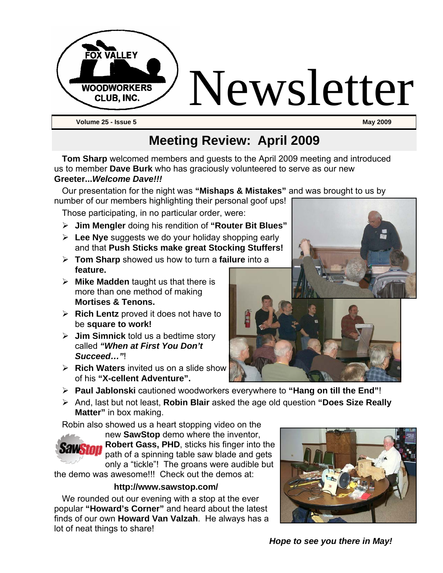

#### **Meeting Review: April 2009**

**Tom Sharp** welcomed members and guests to the April 2009 meeting and introduced us to member **Dave Burk** who has graciously volunteered to serve as our new **Greeter...***Welcome Dave!!!*

Our presentation for the night was **"Mishaps & Mistakes"** and was brought to us by

number of our members highlighting their personal goof ups! Those participating, in no particular order, were:

- ¾ **Jim Mengler** doing his rendition of **"Router Bit Blues"**
- ¾ **Lee Nye** suggests we do your holiday shopping early and that **Push Sticks make great Stocking Stuffers!**
- ¾ **Tom Sharp** showed us how to turn a **failure** into a **feature.**
- ¾ **Mike Madden** taught us that there is more than one method of making **Mortises & Tenons.**
- ¾ **Rich Lentz** proved it does not have to be **square to work!**
- ¾ **Jim Simnick** told us a bedtime story called *"When at First You Don't Succeed…"*!
- ¾ **Rich Waters** invited us on a slide show of his **"X-cellent Adventure".**
- ¾ **Paul Jablonski** cautioned woodworkers everywhere to **"Hang on till the End"**!
- ¾ And, last but not least, **Robin Blair** asked the age old question **"Does Size Really Matter"** in box making.

Robin also showed us a heart stopping video on the



new **SawStop** demo where the inventor, **Robert Gass, PHD**, sticks his finger into the path of a spinning table saw blade and gets only a "tickle"! The groans were audible but

the demo was awesome!!! Check out the demos at:

#### **http://www.sawstop.com/**

We rounded out our evening with a stop at the ever popular **"Howard's Corner"** and heard about the latest finds of our own **Howard Van Valzah**. He always has a lot of neat things to share!



*Hope to see you there in May!* 

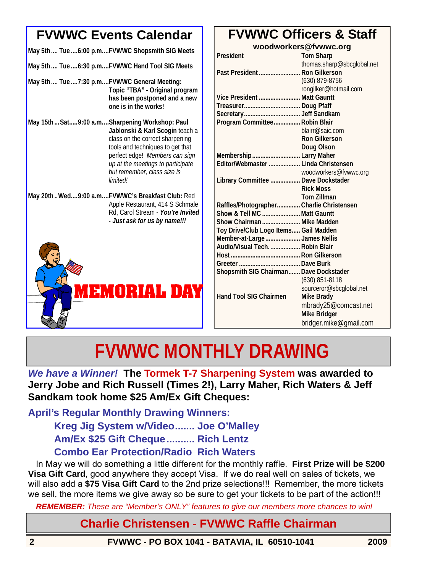#### **FVWWC Events Calendar**

| May 5th Tue  6:00 p.mFVWWC Shopsmith SIG Meets |  |  |  |  |
|------------------------------------------------|--|--|--|--|
|------------------------------------------------|--|--|--|--|

- **May 5th .... Tue ....6:30 p.m....FVWWC Hand Tool SIG Meets**
- **May 5th .... Tue ....7:30 p.m....FVWWC General Meeting: Topic "TBA" - Original program has been postponed and a new one is in the works!**
- **May 15th ...Sat.....9:00 a.m....Sharpening Workshop: Paul Jablonski & Karl Scogin** teach a class on the correct sharpening tools and techniques to get that perfect edge! *Members can sign up at the meetings to participate but remember, class size is limited!*
- **May 20th ..Wed....9:00 a.m....FVWWC's Breakfast Club:** Red Apple Restaurant, 414 S Schmale Rd, Carol Stream - *You're Invited - Just ask for us by name!!!*



#### **FVWWC Officers & Staff**

**woodworkers@fvwwc.org** 

| thomas.sharp@sbcglobal.net<br>Past President  Ron Gilkerson<br>(630) 879-8756<br>rongilker@hotmail.com<br>Vice President  Matt Gauntt<br>Program Committee Robin Blair<br>blairr@saic.com<br><b>Ron Gilkerson</b><br>Doug Olson<br>Membership  Larry Maher<br>Editor/Webmaster  Linda Christensen<br>woodworkers@fvwwc.org<br>Library Committee  Dave Dockstader<br><b>Rick Moss</b><br><b>Tom Zillman</b><br>Raffles/Photographer Charlie Christensen<br>Show & Tell MC  Matt Gauntt<br>Show Chairman  Mike Madden<br>Toy Drive/Club Logo Items Gail Madden<br>Member-at-Large  James Nellis<br>Audio/Visual Tech Robin Blair<br>Shopsmith SIG Chairman Dave Dockstader<br>$(630)$ 851-8118<br>sourceror@sbcglobal.net<br><b>Hand Tool SIG Chairmen</b><br><b>Mike Brady</b><br>mbrady25@comcast.net<br><b>Mike Bridger</b><br>bridger.mike@gmail.com | President | <b>Tom Sharp</b> |
|--------------------------------------------------------------------------------------------------------------------------------------------------------------------------------------------------------------------------------------------------------------------------------------------------------------------------------------------------------------------------------------------------------------------------------------------------------------------------------------------------------------------------------------------------------------------------------------------------------------------------------------------------------------------------------------------------------------------------------------------------------------------------------------------------------------------------------------------------------|-----------|------------------|
|                                                                                                                                                                                                                                                                                                                                                                                                                                                                                                                                                                                                                                                                                                                                                                                                                                                        |           |                  |
|                                                                                                                                                                                                                                                                                                                                                                                                                                                                                                                                                                                                                                                                                                                                                                                                                                                        |           |                  |
|                                                                                                                                                                                                                                                                                                                                                                                                                                                                                                                                                                                                                                                                                                                                                                                                                                                        |           |                  |
|                                                                                                                                                                                                                                                                                                                                                                                                                                                                                                                                                                                                                                                                                                                                                                                                                                                        |           |                  |
|                                                                                                                                                                                                                                                                                                                                                                                                                                                                                                                                                                                                                                                                                                                                                                                                                                                        |           |                  |
|                                                                                                                                                                                                                                                                                                                                                                                                                                                                                                                                                                                                                                                                                                                                                                                                                                                        |           |                  |
|                                                                                                                                                                                                                                                                                                                                                                                                                                                                                                                                                                                                                                                                                                                                                                                                                                                        |           |                  |
|                                                                                                                                                                                                                                                                                                                                                                                                                                                                                                                                                                                                                                                                                                                                                                                                                                                        |           |                  |
|                                                                                                                                                                                                                                                                                                                                                                                                                                                                                                                                                                                                                                                                                                                                                                                                                                                        |           |                  |
|                                                                                                                                                                                                                                                                                                                                                                                                                                                                                                                                                                                                                                                                                                                                                                                                                                                        |           |                  |
|                                                                                                                                                                                                                                                                                                                                                                                                                                                                                                                                                                                                                                                                                                                                                                                                                                                        |           |                  |
|                                                                                                                                                                                                                                                                                                                                                                                                                                                                                                                                                                                                                                                                                                                                                                                                                                                        |           |                  |
|                                                                                                                                                                                                                                                                                                                                                                                                                                                                                                                                                                                                                                                                                                                                                                                                                                                        |           |                  |
|                                                                                                                                                                                                                                                                                                                                                                                                                                                                                                                                                                                                                                                                                                                                                                                                                                                        |           |                  |
|                                                                                                                                                                                                                                                                                                                                                                                                                                                                                                                                                                                                                                                                                                                                                                                                                                                        |           |                  |
|                                                                                                                                                                                                                                                                                                                                                                                                                                                                                                                                                                                                                                                                                                                                                                                                                                                        |           |                  |
|                                                                                                                                                                                                                                                                                                                                                                                                                                                                                                                                                                                                                                                                                                                                                                                                                                                        |           |                  |
|                                                                                                                                                                                                                                                                                                                                                                                                                                                                                                                                                                                                                                                                                                                                                                                                                                                        |           |                  |
|                                                                                                                                                                                                                                                                                                                                                                                                                                                                                                                                                                                                                                                                                                                                                                                                                                                        |           |                  |
|                                                                                                                                                                                                                                                                                                                                                                                                                                                                                                                                                                                                                                                                                                                                                                                                                                                        |           |                  |
|                                                                                                                                                                                                                                                                                                                                                                                                                                                                                                                                                                                                                                                                                                                                                                                                                                                        |           |                  |
|                                                                                                                                                                                                                                                                                                                                                                                                                                                                                                                                                                                                                                                                                                                                                                                                                                                        |           |                  |
|                                                                                                                                                                                                                                                                                                                                                                                                                                                                                                                                                                                                                                                                                                                                                                                                                                                        |           |                  |
|                                                                                                                                                                                                                                                                                                                                                                                                                                                                                                                                                                                                                                                                                                                                                                                                                                                        |           |                  |
|                                                                                                                                                                                                                                                                                                                                                                                                                                                                                                                                                                                                                                                                                                                                                                                                                                                        |           |                  |
|                                                                                                                                                                                                                                                                                                                                                                                                                                                                                                                                                                                                                                                                                                                                                                                                                                                        |           |                  |
|                                                                                                                                                                                                                                                                                                                                                                                                                                                                                                                                                                                                                                                                                                                                                                                                                                                        |           |                  |
|                                                                                                                                                                                                                                                                                                                                                                                                                                                                                                                                                                                                                                                                                                                                                                                                                                                        |           |                  |
|                                                                                                                                                                                                                                                                                                                                                                                                                                                                                                                                                                                                                                                                                                                                                                                                                                                        |           |                  |
|                                                                                                                                                                                                                                                                                                                                                                                                                                                                                                                                                                                                                                                                                                                                                                                                                                                        |           |                  |
|                                                                                                                                                                                                                                                                                                                                                                                                                                                                                                                                                                                                                                                                                                                                                                                                                                                        |           |                  |
|                                                                                                                                                                                                                                                                                                                                                                                                                                                                                                                                                                                                                                                                                                                                                                                                                                                        |           |                  |

## **FVWWC MONTHLY DRAWING**

*We have a Winner!* **The Tormek T-7 Sharpening System was awarded to Jerry Jobe and Rich Russell (Times 2!), Larry Maher, Rich Waters & Jeff Sandkam took home \$25 Am/Ex Gift Cheques:** 

**April's Regular Monthly Drawing Winners: Kreg Jig System w/Video....... Joe O'Malley Am/Ex \$25 Gift Cheque.......... Rich Lentz Combo Ear Protection/Radio Rich Waters** 

In May we will do something a little different for the monthly raffle. **First Prize will be \$200 Visa Gift Card**, good anywhere they accept Visa. If we do real well on sales of tickets, we will also add a **\$75 Visa Gift Card** to the 2nd prize selections!!! Remember, the more tickets we sell, the more items we give away so be sure to get your tickets to be part of the action!!!

*REMEMBER: These are "Member's ONLY" features to give our members more chances to win!* 

#### **Charlie Christensen - FVWWC Raffle Chairman**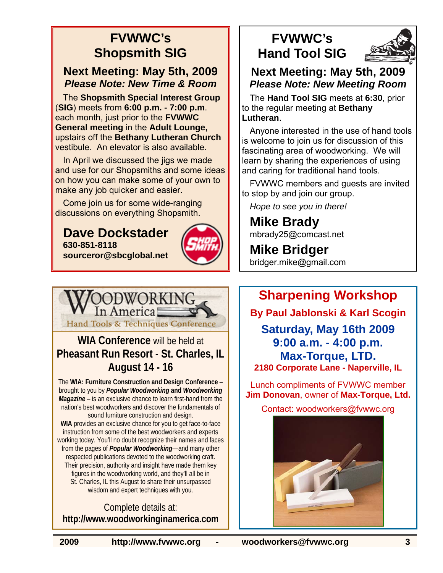#### **FVWWC's Shopsmith SIG**

#### **Next Meeting: May 5th, 2009**  *Please Note: New Time & Room*

The **Shopsmith Special Interest Group** (**SIG**) meets from **6:00 p.m. - 7:00 p.m**. each month, just prior to the **FVWWC General meeting** in the **Adult Lounge,** upstairs off the **Bethany Lutheran Church**  vestibule. An elevator is also available.

In April we discussed the jigs we made and use for our Shopsmiths and some ideas on how you can make some of your own to make any job quicker and easier.

Come join us for some wide-ranging discussions on everything Shopsmith.

#### **Dave Dockstader 630-851-8118 sourceror@sbcglobal.net**





The **WIA: Furniture Construction and Design Conference** – brought to you by *Popular Woodworking* **and** *Woodworking Magazine* – is an exclusive chance to learn first-hand from the nation's best woodworkers and discover the fundamentals of sound furniture construction and design. **WIA** provides an exclusive chance for you to get face-to-face

instruction from some of the best woodworkers and experts working today. You'll no doubt recognize their names and faces from the pages of *Popular Woodworking*—and many other respected publications devoted to the woodworking craft. Their precision, authority and insight have made them key figures in the woodworking world, and they'll all be in St. Charles, IL this August to share their unsurpassed wisdom and expert techniques with you.

Complete details at: **http://www.woodworkinginamerica.com**

#### **FVWWC's Hand Tool SIG**



#### **Next Meeting: May 5th, 2009**  *Please Note: New Meeting Room*

The **Hand Tool SIG** meets at **6:30**, prior to the regular meeting at **Bethany Lutheran**.

Anyone interested in the use of hand tools is welcome to join us for discussion of this fascinating area of woodworking. We will learn by sharing the experiences of using and caring for traditional hand tools.

FVWWC members and guests are invited to stop by and join our group.

*Hope to see you in there!* 

**Mike Brady**  mbrady25@comcast.net

**Mike Bridger**  bridger.mike@gmail.com

#### **Sharpening Workshop**

**By Paul Jablonski & Karl Scogin** 

**Saturday, May 16th 2009 9:00 a.m. - 4:00 p.m. Max-Torque, LTD. 2180 Corporate Lane - Naperville, IL** 

Lunch compliments of FVWWC member **Jim Donovan**, owner of **Max-Torque, Ltd.** 

Contact: woodworkers@fvwwc.org

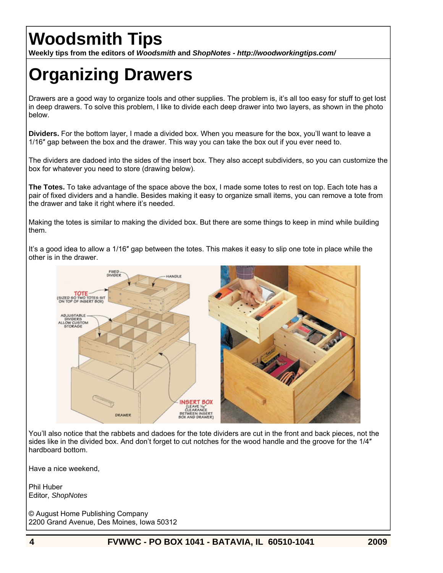### **Woodsmith Tips**

**Weekly tips from the editors of** *Woodsmith* **and** *ShopNotes - http://woodworkingtips.com/* 

### **Organizing Drawers**

Drawers are a good way to organize tools and other supplies. The problem is, it's all too easy for stuff to get lost in deep drawers. To solve this problem, I like to divide each deep drawer into two layers, as shown in the photo below.

**Dividers.** For the bottom layer, I made a divided box. When you measure for the box, you'll want to leave a 1/16″ gap between the box and the drawer. This way you can take the box out if you ever need to.

The dividers are dadoed into the sides of the insert box. They also accept subdividers, so you can customize the box for whatever you need to store (drawing below).

**The Totes.** To take advantage of the space above the box, I made some totes to rest on top. Each tote has a pair of fixed dividers and a handle. Besides making it easy to organize small items, you can remove a tote from the drawer and take it right where it's needed.

Making the totes is similar to making the divided box. But there are some things to keep in mind while building them.

It's a good idea to allow a 1/16″ gap between the totes. This makes it easy to slip one tote in place while the other is in the drawer.



You'll also notice that the rabbets and dadoes for the tote dividers are cut in the front and back pieces, not the sides like in the divided box. And don't forget to cut notches for the wood handle and the groove for the 1/4″ hardboard bottom.

Have a nice weekend,

Phil Huber Editor, *ShopNotes*

© August Home Publishing Company 2200 Grand Avenue, Des Moines, Iowa 50312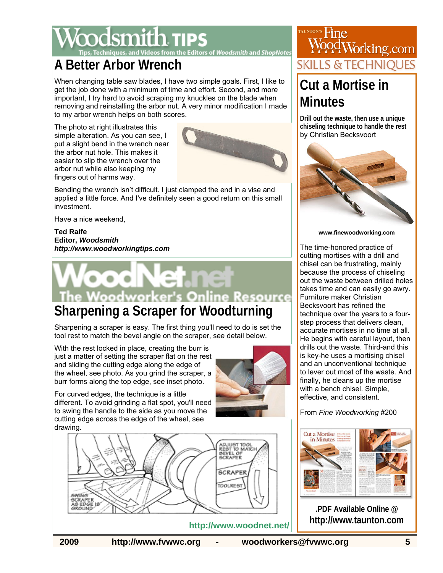#### dsmith **11Ps Editors of Woodsmith and ShopNotes**

#### **A Better Arbor Wrench**

When changing table saw blades, I have two simple goals. First, I like to get the job done with a minimum of time and effort. Second, and more important, I try hard to avoid scraping my knuckles on the blade when removing and reinstalling the arbor nut. A very minor modification I made to my arbor wrench helps on both scores.

The photo at right illustrates this simple alteration. As you can see, I put a slight bend in the wrench near the arbor nut hole. This makes it easier to slip the wrench over the arbor nut while also keeping my fingers out of harms way.



Bending the wrench isn't difficult. I just clamped the end in a vise and applied a little force. And I've definitely seen a good return on this small investment.

Have a nice weekend,

**Ted Raife Editor,** *Woodsmith http://www.woodworkingtips.com*

# **Woodworker's Online Resource**

### **Sharpening a Scraper for Woodturning**

Sharpening a scraper is easy. The first thing you'll need to do is set the tool rest to match the bevel angle on the scraper, see detail below.

With the rest locked in place, creating the burr is just a matter of setting the scraper flat on the rest and sliding the cutting edge along the edge of the wheel, see photo. As you grind the scraper, a burr forms along the top edge, see inset photo.

different. To avoid grinding a flat spot, you'll need to swing the handle to the side as you move the cutting edge across the edge of the wheel, see

For curved edges, the technique is a little



drawing. **ADJUST TOOL**<br>REST TO MATCH BEVEL OF<br>SCRAPER **SCRAPER** TOOLREST **SWING** 



### From *Fine Woodworking* #200



**.PDF Available Online @ http://www.taunton.com**

#### **http://www.woodnet.net/**

AS EDGE<br>GROUND

**2009 http://www.fvwwc.org - woodworkers@fvwwc.org 5** 



## <u>pod</u>Working.com SKILLS & TEC

### **Cut a Mortise in Minutes**

**Drill out the waste, then use a unique chiseling technique to handle the rest** by Christian Becksvoort



**www.finewoodworking.com** 

The time-honored practice of cutting mortises with a drill and chisel can be frustrating, mainly because the process of chiseling out the waste between drilled holes takes time and can easily go awry. Furniture maker Christian Becksvoort has refined the technique over the years to a fourstep process that delivers clean, accurate mortises in no time at all. He begins with careful layout, then drills out the waste. Third-and this is key-he uses a mortising chisel and an unconventional technique to lever out most of the waste. And finally, he cleans up the mortise with a bench chisel. Simple, effective, and consistent.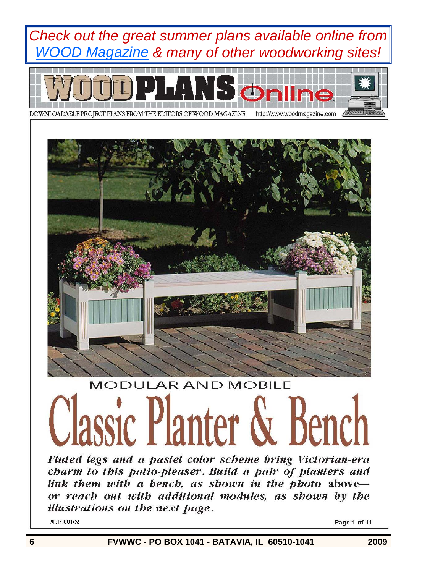





# **MODULAR AND MOBILE** lassic Planter & Bencl

Fluted legs and a pastel color scheme bring Victorian-era charm to this patio-pleaser. Build a pair of planters and link them with a bench, as shown in the photo aboveor reach out with additional modules, as shown by the illustrations on the next page.

#DP-00109

Page 1 of 11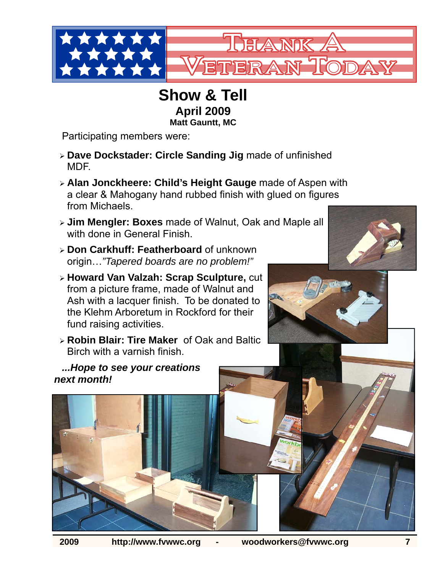

#### **Show & Tell April 2009 Matt Gauntt, MC**

Participating members were:

- ¾ **Dave Dockstader: Circle Sanding Jig** made of unfinished MDF.
- ¾ **Alan Jonckheere: Child's Height Gauge** made of Aspen with a clear & Mahogany hand rubbed finish with glued on figures from Michaels.
- ¾ **Jim Mengler: Boxes** made of Walnut, Oak and Maple all with done in General Finish.
- ¾ **Don Carkhuff: Featherboard** of unknown origin…*"Tapered boards are no problem!"*
- ¾ **Howard Van Valzah: Scrap Sculpture,** cut from a picture frame, made of Walnut and Ash with a lacquer finish. To be donated to the Klehm Arboretum in Rockford for their fund raising activities.
- ¾ **Robin Blair: Tire Maker** of Oak and Baltic Birch with a varnish finish.

*...Hope to see your creations next month!*